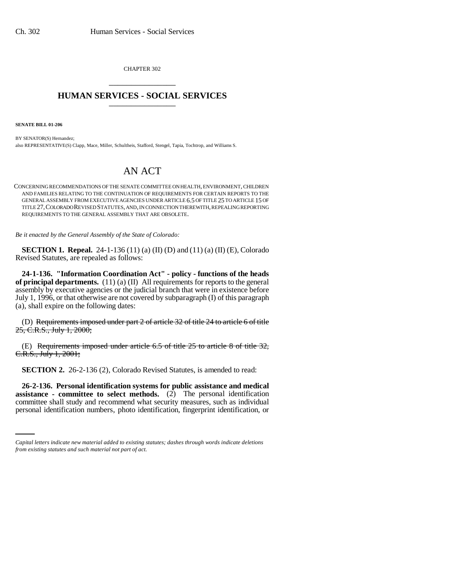CHAPTER 302 \_\_\_\_\_\_\_\_\_\_\_\_\_\_\_

## **HUMAN SERVICES - SOCIAL SERVICES** \_\_\_\_\_\_\_\_\_\_\_\_\_\_\_

**SENATE BILL 01-206**

BY SENATOR(S) Hernandez; also REPRESENTATIVE(S) Clapp, Mace, Miller, Schultheis, Stafford, Stengel, Tapia, Tochtrop, and Williams S.

## AN ACT

CONCERNING RECOMMENDATIONS OF THE SENATE COMMITTEE ON HEALTH, ENVIRONMENT, CHILDREN AND FAMILIES RELATING TO THE CONTINUATION OF REQUIREMENTS FOR CERTAIN REPORTS TO THE GENERAL ASSEMBLY FROM EXECUTIVE AGENCIES UNDER ARTICLE 6.5 OF TITLE 25 TO ARTICLE 15 OF TITLE 27,COLORADO REVISED STATUTES, AND, IN CONNECTION THEREWITH, REPEALING REPORTING REQUIREMENTS TO THE GENERAL ASSEMBLY THAT ARE OBSOLETE.

*Be it enacted by the General Assembly of the State of Colorado:*

**SECTION 1. Repeal.** 24-1-136 (11) (a) (II) (D) and (11) (a) (II) (E), Colorado Revised Statutes, are repealed as follows:

**24-1-136. "Information Coordination Act" - policy - functions of the heads of principal departments.** (11) (a) (II) All requirements for reports to the general assembly by executive agencies or the judicial branch that were in existence before July 1, 1996, or that otherwise are not covered by subparagraph (I) of this paragraph (a), shall expire on the following dates:

(D) Requirements imposed under part  $2$  of article  $32$  of title  $24$  to article 6 of title 25, C.R.S., July 1, 2000;

(E) Requirements imposed under article 6.5 of title 25 to article 8 of title 32, C.R.S., July 1, 2001;

**SECTION 2.** 26-2-136 (2), Colorado Revised Statutes, is amended to read:

 **assistance - committee to select methods.** (2) The personal identification **26-2-136. Personal identification systems for public assistance and medical** committee shall study and recommend what security measures, such as individual personal identification numbers, photo identification, fingerprint identification, or

*Capital letters indicate new material added to existing statutes; dashes through words indicate deletions from existing statutes and such material not part of act.*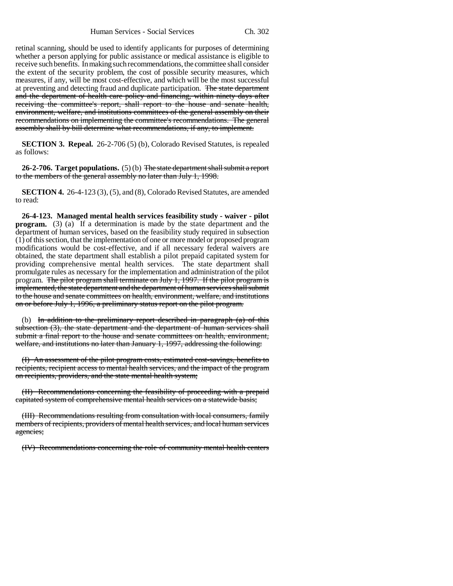retinal scanning, should be used to identify applicants for purposes of determining whether a person applying for public assistance or medical assistance is eligible to receive such benefits. In making such recommendations, the committee shall consider the extent of the security problem, the cost of possible security measures, which measures, if any, will be most cost-effective, and which will be the most successful at preventing and detecting fraud and duplicate participation. The state department and the department of health care policy and financing, within ninety days after receiving the committee's report, shall report to the house and senate health, environment, welfare, and institutions committees of the general assembly on their recommendations on implementing the committee's recommendations. The general assembly shall by bill determine what recommendations, if any, to implement.

**SECTION 3. Repeal.** 26-2-706 (5) (b), Colorado Revised Statutes, is repealed as follows:

**26-2-706. Target populations.** (5) (b) The state department shall submit a report to the members of the general assembly no later than July 1, 1998.

**SECTION 4.** 26-4-123 (3), (5), and (8), Colorado Revised Statutes, are amended to read:

**26-4-123. Managed mental health services feasibility study - waiver - pilot program.** (3) (a) If a determination is made by the state department and the department of human services, based on the feasibility study required in subsection (1) of this section, that the implementation of one or more model or proposed program modifications would be cost-effective, and if all necessary federal waivers are obtained, the state department shall establish a pilot prepaid capitated system for providing comprehensive mental health services. The state department shall promulgate rules as necessary for the implementation and administration of the pilot program. The pilot program shall terminate on July 1, 1997. If the pilot program is implemented, the state department and the department of human services shall submit to the house and senate committees on health, environment, welfare, and institutions on or before July 1, 1996, a preliminary status report on the pilot program.

(b) In addition to the preliminary report described in paragraph  $(a)$  of this subsection (3), the state department and the department of human services shall submit a final report to the house and senate committees on health, environment, welfare, and institutions no later than January 1, 1997, addressing the following:

(I) An assessment of the pilot program costs, estimated cost-savings, benefits to recipients, recipient access to mental health services, and the impact of the program on recipients, providers, and the state mental health system;

(II) Recommendations concerning the feasibility of proceeding with a prepaid capitated system of comprehensive mental health services on a statewide basis;

(III) Recommendations resulting from consultation with local consumers, family members of recipients, providers of mental health services, and local human services agencies;

(IV) Recommendations concerning the role of community mental health centers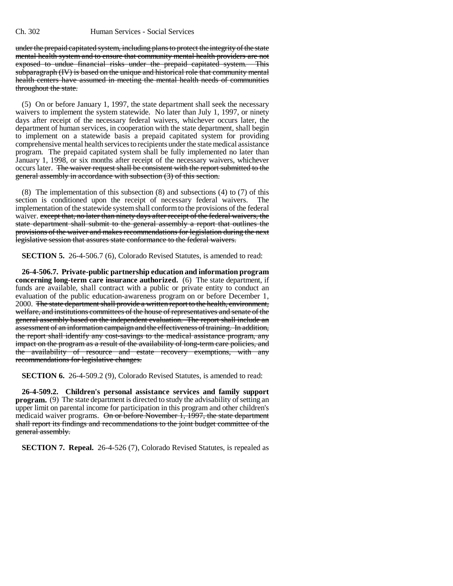under the prepaid capitated system, including plans to protect the integrity of the state mental health system and to ensure that community mental health providers are not exposed to undue financial risks under the prepaid capitated system. This subparagraph (IV) is based on the unique and historical role that community mental health centers have assumed in meeting the mental health needs of communities throughout the state.

(5) On or before January 1, 1997, the state department shall seek the necessary waivers to implement the system statewide. No later than July 1, 1997, or ninety days after receipt of the necessary federal waivers, whichever occurs later, the department of human services, in cooperation with the state department, shall begin to implement on a statewide basis a prepaid capitated system for providing comprehensive mental health services to recipients under the state medical assistance program. The prepaid capitated system shall be fully implemented no later than January 1, 1998, or six months after receipt of the necessary waivers, whichever occurs later. The waiver request shall be consistent with the report submitted to the general assembly in accordance with subsection (3) of this section.

(8) The implementation of this subsection (8) and subsections (4) to (7) of this section is conditioned upon the receipt of necessary federal waivers. The implementation of the statewide system shall conform to the provisions of the federal waiver. except that, no later than ninety days after receipt of the federal waivers, the state department shall submit to the general assembly a report that outlines the provisions of the waiver and makes recommendations for legislation during the next legislative session that assures state conformance to the federal waivers.

**SECTION 5.** 26-4-506.7 (6), Colorado Revised Statutes, is amended to read:

**26-4-506.7. Private-public partnership education and information program concerning long-term care insurance authorized.** (6) The state department, if funds are available, shall contract with a public or private entity to conduct an evaluation of the public education-awareness program on or before December 1, 2000. The state department shall provide a written report to the health, environment, welfare, and institutions committees of the house of representatives and senate of the general assembly based on the independent evaluation. The report shall include an assessment of an information campaign and the effectiveness of training. In addition, the report shall identify any cost-savings to the medical assistance program, any impact on the program as a result of the availability of long-term care policies, and the availability of resource and estate recovery exemptions, with any recommendations for legislative changes.

**SECTION 6.** 26-4-509.2 (9), Colorado Revised Statutes, is amended to read:

**26-4-509.2. Children's personal assistance services and family support program.** (9) The state department is directed to study the advisability of setting an upper limit on parental income for participation in this program and other children's medicaid waiver programs. On or before November 1, 1997, the state department shall report its findings and recommendations to the joint budget committee of the general assembly.

**SECTION 7. Repeal.** 26-4-526 (7), Colorado Revised Statutes, is repealed as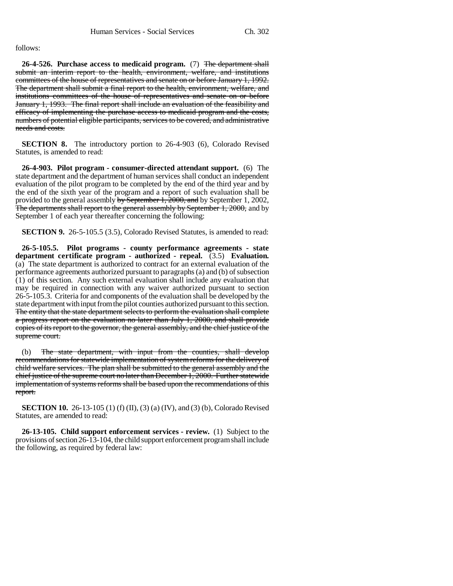follows:

**26-4-526. Purchase access to medicaid program.** (7) The department shall submit an interim report to the health, environment, welfare, and institutions committees of the house of representatives and senate on or before January 1, 1992. The department shall submit a final report to the health, environment, welfare, and institutions committees of the house of representatives and senate on or before January 1, 1993. The final report shall include an evaluation of the feasibility and efficacy of implementing the purchase access to medicaid program and the costs, numbers of potential eligible participants, services to be covered, and administrative needs and costs.

**SECTION 8.** The introductory portion to 26-4-903 (6), Colorado Revised Statutes, is amended to read:

**26-4-903. Pilot program - consumer-directed attendant support.** (6) The state department and the department of human services shall conduct an independent evaluation of the pilot program to be completed by the end of the third year and by the end of the sixth year of the program and a report of such evaluation shall be provided to the general assembly by September 1, 2000, and by September 1, 2002, The departments shall report to the general assembly by September 1, 2000, and by September 1 of each year thereafter concerning the following:

**SECTION 9.** 26-5-105.5 (3.5), Colorado Revised Statutes, is amended to read:

**26-5-105.5. Pilot programs - county performance agreements - state department certificate program - authorized - repeal.** (3.5) **Evaluation.** (a) The state department is authorized to contract for an external evaluation of the performance agreements authorized pursuant to paragraphs (a) and (b) of subsection  $(1)$  of this section. Any such external evaluation shall include any evaluation that may be required in connection with any waiver authorized pursuant to section 26-5-105.3. Criteria for and components of the evaluation shall be developed by the state department with input from the pilot counties authorized pursuant to this section. The entity that the state department selects to perform the evaluation shall complete a progress report on the evaluation no later than July 1, 2000, and shall provide copies of its report to the governor, the general assembly, and the chief justice of the supreme court.

(b) The state department, with input from the counties, shall develop recommendations for statewide implementation of system reforms for the delivery of child welfare services. The plan shall be submitted to the general assembly and the chief justice of the supreme court no later than December 1, 2000. Further statewide implementation of systems reforms shall be based upon the recommendations of this report.

**SECTION 10.** 26-13-105 (1) (f) (II), (3) (a) (IV), and (3) (b), Colorado Revised Statutes, are amended to read:

**26-13-105. Child support enforcement services - review.** (1) Subject to the provisions of section 26-13-104, the child support enforcement program shall include the following, as required by federal law: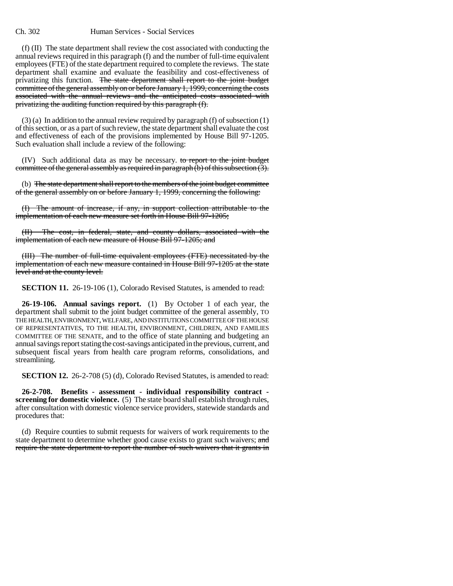## Ch. 302 Human Services - Social Services

(f) (II) The state department shall review the cost associated with conducting the annual reviews required in this paragraph (f) and the number of full-time equivalent employees (FTE) of the state department required to complete the reviews. The state department shall examine and evaluate the feasibility and cost-effectiveness of privatizing this function. The state department shall report to the joint budget committee of the general assembly on or before January 1, 1999, concerning the costs associated with the annual reviews and the anticipated costs associated with privatizing the auditing function required by this paragraph (f).

(3) (a) In addition to the annual review required by paragraph (f) of subsection (1) of this section, or as a part of such review, the state department shall evaluate the cost and effectiveness of each of the provisions implemented by House Bill 97-1205. Such evaluation shall include a review of the following:

(IV) Such additional data as may be necessary. to report to the joint budget committee of the general assembly as required in paragraph  $(b)$  of this subsection  $(3)$ .

(b) The state department shall report to the members of the joint budget committee of the general assembly on or before January 1, 1999, concerning the following:

(I) The amount of increase, if any, in support collection attributable to the implementation of each new measure set forth in House Bill 97-1205;

The cost, in federal, state, and county dollars, associated with the implementation of each new measure of House Bill 97-1205; and

(III) The number of full-time equivalent employees (FTE) necessitated by the implementation of each new measure contained in House Bill 97-1205 at the state level and at the county level.

**SECTION 11.** 26-19-106 (1), Colorado Revised Statutes, is amended to read:

**26-19-106. Annual savings report.** (1) By October 1 of each year, the department shall submit to the joint budget committee of the general assembly, TO THE HEALTH, ENVIRONMENT, WELFARE, AND INSTITUTIONS COMMITTEE OF THE HOUSE OF REPRESENTATIVES, TO THE HEALTH, ENVIRONMENT, CHILDREN, AND FAMILIES COMMITTEE OF THE SENATE, and to the office of state planning and budgeting an annual savings report stating the cost-savings anticipated in the previous, current, and subsequent fiscal years from health care program reforms, consolidations, and streamlining.

**SECTION 12.** 26-2-708 (5) (d), Colorado Revised Statutes, is amended to read:

**26-2-708. Benefits - assessment - individual responsibility contract screening for domestic violence.** (5) The state board shall establish through rules, after consultation with domestic violence service providers, statewide standards and procedures that:

(d) Require counties to submit requests for waivers of work requirements to the state department to determine whether good cause exists to grant such waivers; and require the state department to report the number of such waivers that it grants in